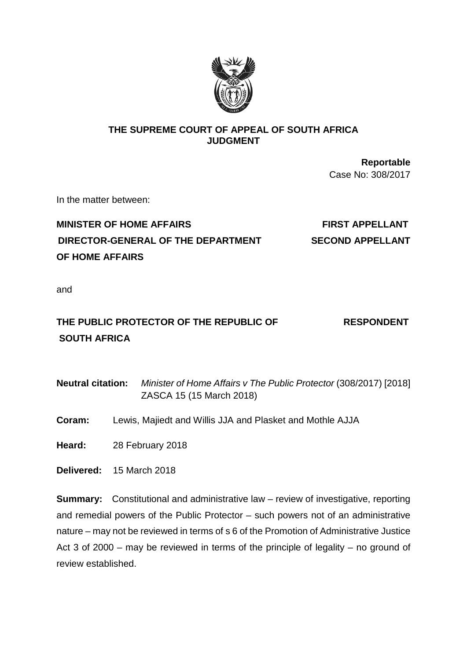

## **THE SUPREME COURT OF APPEAL OF SOUTH AFRICA JUDGMENT**

**Reportable** Case No: 308/2017

In the matter between:

# **MINISTER OF HOME AFFAIRS FIRST APPELLANT DIRECTOR-GENERAL OF THE DEPARTMENT SECOND APPELLANT OF HOME AFFAIRS**

and

# **THE PUBLIC PROTECTOR OF THE REPUBLIC OF RESPONDENT SOUTH AFRICA**

**Neutral citation:** *Minister of Home Affairs v The Public Protector* (308/2017) [2018] ZASCA 15 (15 March 2018)

**Coram:** Lewis, Majiedt and Willis JJA and Plasket and Mothle AJJA

**Heard:** 28 February 2018

**Delivered:** 15 March 2018

**Summary:** Constitutional and administrative law – review of investigative, reporting and remedial powers of the Public Protector – such powers not of an administrative nature – may not be reviewed in terms of s 6 of the Promotion of Administrative Justice Act 3 of 2000 – may be reviewed in terms of the principle of legality – no ground of review established.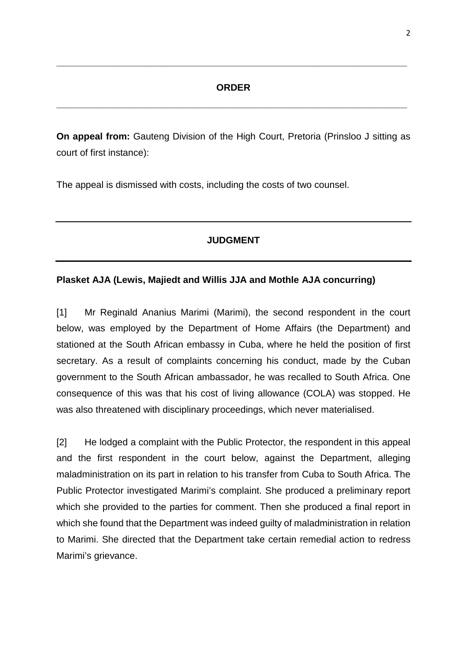### **ORDER**

**\_\_\_\_\_\_\_\_\_\_\_\_\_\_\_\_\_\_\_\_\_\_\_\_\_\_\_\_\_\_\_\_\_\_\_\_\_\_\_\_\_\_\_\_\_\_\_\_\_\_\_\_\_\_\_\_\_\_\_\_\_\_\_\_\_\_\_**

**\_\_\_\_\_\_\_\_\_\_\_\_\_\_\_\_\_\_\_\_\_\_\_\_\_\_\_\_\_\_\_\_\_\_\_\_\_\_\_\_\_\_\_\_\_\_\_\_\_\_\_\_\_\_\_\_\_\_\_\_\_\_\_\_\_\_\_**

**On appeal from:** Gauteng Division of the High Court, Pretoria (Prinsloo J sitting as court of first instance):

The appeal is dismissed with costs, including the costs of two counsel.

## **JUDGMENT**

## **Plasket AJA (Lewis, Majiedt and Willis JJA and Mothle AJA concurring)**

[1] Mr Reginald Ananius Marimi (Marimi), the second respondent in the court below, was employed by the Department of Home Affairs (the Department) and stationed at the South African embassy in Cuba, where he held the position of first secretary. As a result of complaints concerning his conduct, made by the Cuban government to the South African ambassador, he was recalled to South Africa. One consequence of this was that his cost of living allowance (COLA) was stopped. He was also threatened with disciplinary proceedings, which never materialised.

[2] He lodged a complaint with the Public Protector, the respondent in this appeal and the first respondent in the court below, against the Department, alleging maladministration on its part in relation to his transfer from Cuba to South Africa. The Public Protector investigated Marimi's complaint. She produced a preliminary report which she provided to the parties for comment. Then she produced a final report in which she found that the Department was indeed guilty of maladministration in relation to Marimi. She directed that the Department take certain remedial action to redress Marimi's grievance.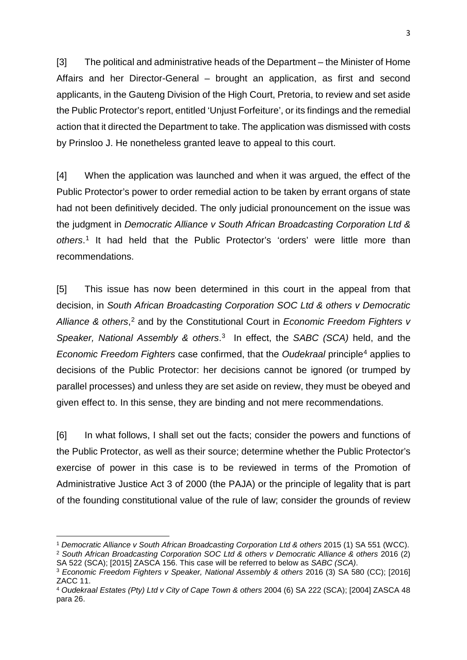[3] The political and administrative heads of the Department – the Minister of Home Affairs and her Director-General – brought an application, as first and second applicants, in the Gauteng Division of the High Court, Pretoria, to review and set aside the Public Protector's report, entitled 'Unjust Forfeiture', or its findings and the remedial action that it directed the Department to take. The application was dismissed with costs by Prinsloo J. He nonetheless granted leave to appeal to this court.

[4] When the application was launched and when it was argued, the effect of the Public Protector's power to order remedial action to be taken by errant organs of state had not been definitively decided. The only judicial pronouncement on the issue was the judgment in *Democratic Alliance v South African Broadcasting Corporation Ltd & others*. [1](#page-2-0) It had held that the Public Protector's 'orders' were little more than recommendations.

[5] This issue has now been determined in this court in the appeal from that decision, in *South African Broadcasting Corporation SOC Ltd & others v Democratic Alliance & others*, [2](#page-2-1) and by the Constitutional Court in *Economic Freedom Fighters v Speaker, National Assembly & others*. [3](#page-2-2) In effect, the *SABC (SCA)* held, and the *Economic Freedom Fighters* case confirmed, that the *Oudekraal* principle[4](#page-2-3) applies to decisions of the Public Protector: her decisions cannot be ignored (or trumped by parallel processes) and unless they are set aside on review, they must be obeyed and given effect to. In this sense, they are binding and not mere recommendations.

[6] In what follows, I shall set out the facts; consider the powers and functions of the Public Protector, as well as their source; determine whether the Public Protector's exercise of power in this case is to be reviewed in terms of the Promotion of Administrative Justice Act 3 of 2000 (the PAJA) or the principle of legality that is part of the founding constitutional value of the rule of law; consider the grounds of review

 $\overline{a}$ 

<span id="page-2-0"></span><sup>1</sup> *Democratic Alliance v South African Broadcasting Corporation Ltd & others* 2015 (1) SA 551 (WCC). <sup>2</sup> *South African Broadcasting Corporation SOC Ltd & others v Democratic Alliance & others* 2016 (2)

<span id="page-2-1"></span>SA 522 (SCA); [2015] ZASCA 156. This case will be referred to below as *SABC (SCA)*.

<span id="page-2-2"></span><sup>3</sup> *Economic Freedom Fighters v Speaker, National Assembly & others* 2016 (3) SA 580 (CC); [2016] ZACC 11.

<span id="page-2-3"></span><sup>4</sup> *Oudekraal Estates (Pty) Ltd v City of Cape Town & others* 2004 (6) SA 222 (SCA); [2004] ZASCA 48 para 26.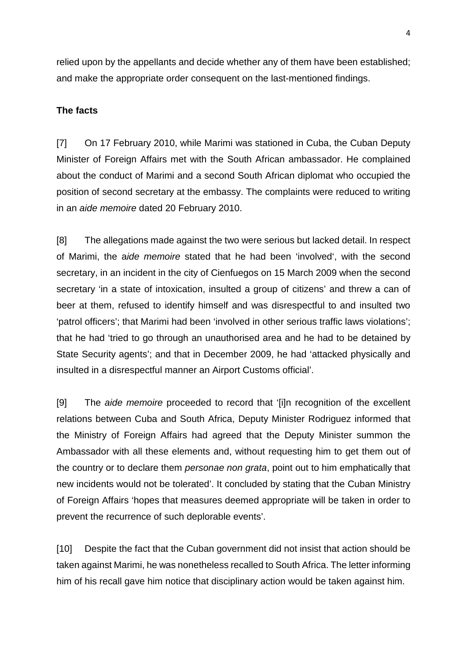relied upon by the appellants and decide whether any of them have been established; and make the appropriate order consequent on the last-mentioned findings.

## **The facts**

[7] On 17 February 2010, while Marimi was stationed in Cuba, the Cuban Deputy Minister of Foreign Affairs met with the South African ambassador. He complained about the conduct of Marimi and a second South African diplomat who occupied the position of second secretary at the embassy. The complaints were reduced to writing in an *aide memoire* dated 20 February 2010.

[8] The allegations made against the two were serious but lacked detail. In respect of Marimi, the a*ide memoire* stated that he had been 'involved', with the second secretary, in an incident in the city of Cienfuegos on 15 March 2009 when the second secretary 'in a state of intoxication, insulted a group of citizens' and threw a can of beer at them, refused to identify himself and was disrespectful to and insulted two 'patrol officers'; that Marimi had been 'involved in other serious traffic laws violations'; that he had 'tried to go through an unauthorised area and he had to be detained by State Security agents'; and that in December 2009, he had 'attacked physically and insulted in a disrespectful manner an Airport Customs official'.

[9] The *aide memoire* proceeded to record that '[i]n recognition of the excellent relations between Cuba and South Africa, Deputy Minister Rodriguez informed that the Ministry of Foreign Affairs had agreed that the Deputy Minister summon the Ambassador with all these elements and, without requesting him to get them out of the country or to declare them *personae non grata*, point out to him emphatically that new incidents would not be tolerated'. It concluded by stating that the Cuban Ministry of Foreign Affairs 'hopes that measures deemed appropriate will be taken in order to prevent the recurrence of such deplorable events'.

[10] Despite the fact that the Cuban government did not insist that action should be taken against Marimi, he was nonetheless recalled to South Africa. The letter informing him of his recall gave him notice that disciplinary action would be taken against him.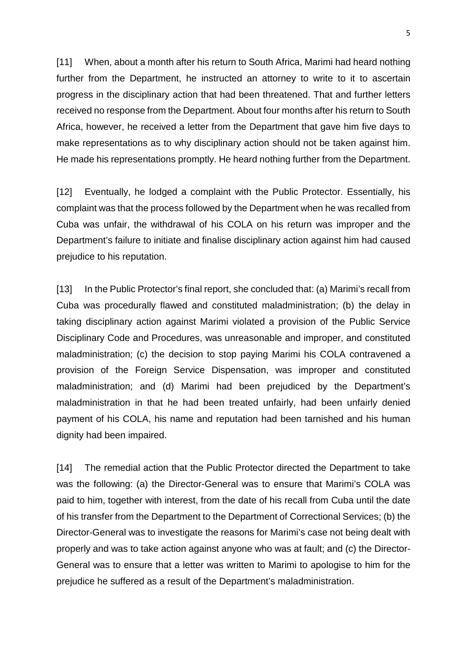[11] When, about a month after his return to South Africa, Marimi had heard nothing further from the Department, he instructed an attorney to write to it to ascertain progress in the disciplinary action that had been threatened. That and further letters received no response from the Department. About four months after his return to South Africa, however, he received a letter from the Department that gave him five days to make representations as to why disciplinary action should not be taken against him. He made his representations promptly. He heard nothing further from the Department.

[12] Eventually, he lodged a complaint with the Public Protector. Essentially, his complaint was that the process followed by the Department when he was recalled from Cuba was unfair, the withdrawal of his COLA on his return was improper and the Department's failure to initiate and finalise disciplinary action against him had caused prejudice to his reputation.

[13] In the Public Protector's final report, she concluded that: (a) Marimi's recall from Cuba was procedurally flawed and constituted maladministration; (b) the delay in taking disciplinary action against Marimi violated a provision of the Public Service Disciplinary Code and Procedures, was unreasonable and improper, and constituted maladministration; (c) the decision to stop paying Marimi his COLA contravened a provision of the Foreign Service Dispensation, was improper and constituted maladministration; and (d) Marimi had been prejudiced by the Department's maladministration in that he had been treated unfairly, had been unfairly denied payment of his COLA, his name and reputation had been tarnished and his human dignity had been impaired.

[14] The remedial action that the Public Protector directed the Department to take was the following: (a) the Director-General was to ensure that Marimi's COLA was paid to him, together with interest, from the date of his recall from Cuba until the date of his transfer from the Department to the Department of Correctional Services; (b) the Director-General was to investigate the reasons for Marimi's case not being dealt with properly and was to take action against anyone who was at fault; and (c) the Director-General was to ensure that a letter was written to Marimi to apologise to him for the prejudice he suffered as a result of the Department's maladministration.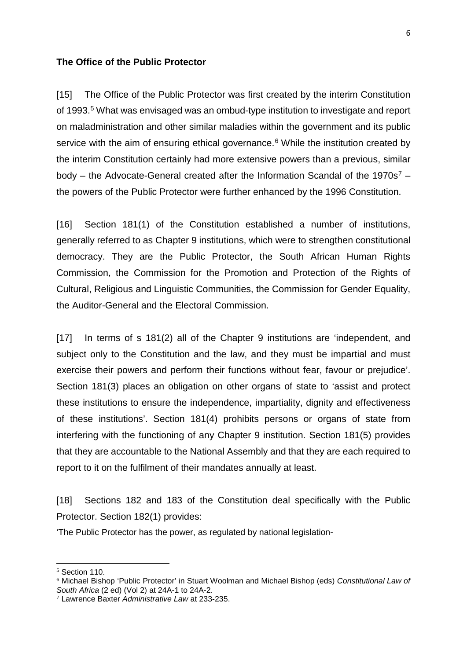#### **The Office of the Public Protector**

[15] The Office of the Public Protector was first created by the interim Constitution of 1993.<sup>5</sup> What was envisaged was an ombud-type institution to investigate and report on maladministration and other similar maladies within the government and its public service with the aim of ensuring ethical governance.<sup>[6](#page-5-1)</sup> While the institution created by the interim Constitution certainly had more extensive powers than a previous, similar body – the Advocate-General created after the Information Scandal of the 19[7](#page-5-2)0s<sup>7</sup> – the powers of the Public Protector were further enhanced by the 1996 Constitution.

[16] Section 181(1) of the Constitution established a number of institutions, generally referred to as Chapter 9 institutions, which were to strengthen constitutional democracy. They are the Public Protector, the South African Human Rights Commission, the Commission for the Promotion and Protection of the Rights of Cultural, Religious and Linguistic Communities, the Commission for Gender Equality, the Auditor-General and the Electoral Commission.

[17] In terms of s 181(2) all of the Chapter 9 institutions are 'independent, and subject only to the Constitution and the law, and they must be impartial and must exercise their powers and perform their functions without fear, favour or prejudice'. Section 181(3) places an obligation on other organs of state to 'assist and protect these institutions to ensure the independence, impartiality, dignity and effectiveness of these institutions'. Section 181(4) prohibits persons or organs of state from interfering with the functioning of any Chapter 9 institution. Section 181(5) provides that they are accountable to the National Assembly and that they are each required to report to it on the fulfilment of their mandates annually at least.

[18] Sections 182 and 183 of the Constitution deal specifically with the Public Protector. Section 182(1) provides:

'The Public Protector has the power, as regulated by national legislation-

 $\overline{a}$ 

<span id="page-5-0"></span><sup>5</sup> Section 110.

<span id="page-5-1"></span><sup>6</sup> Michael Bishop 'Public Protector' in Stuart Woolman and Michael Bishop (eds) *Constitutional Law of South Africa* (2 ed) (Vol 2) at 24A-1 to 24A-2.

<span id="page-5-2"></span><sup>7</sup> Lawrence Baxter *Administrative Law* at 233-235.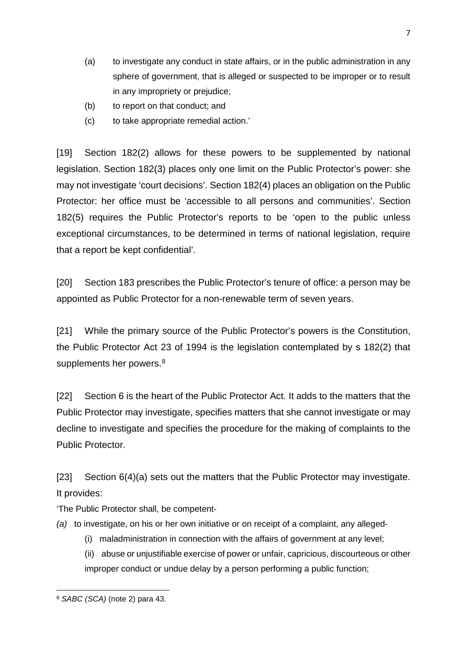- (a) to investigate any conduct in state affairs, or in the public administration in any sphere of government, that is alleged or suspected to be improper or to result in any impropriety or prejudice;
- (b) to report on that conduct; and
- (c) to take appropriate remedial action.'

[19] Section 182(2) allows for these powers to be supplemented by national legislation. Section 182(3) places only one limit on the Public Protector's power: she may not investigate 'court decisions'. Section 182(4) places an obligation on the Public Protector: her office must be 'accessible to all persons and communities'. Section 182(5) requires the Public Protector's reports to be 'open to the public unless exceptional circumstances, to be determined in terms of national legislation, require that a report be kept confidential'.

[20] Section 183 prescribes the Public Protector's tenure of office: a person may be appointed as Public Protector for a non-renewable term of seven years.

[21] While the primary source of the Public Protector's powers is the Constitution, the Public Protector Act 23 of 1994 is the legislation contemplated by s 182(2) that supplements her powers.<sup>[8](#page-6-0)</sup>

[22] Section 6 is the heart of the Public Protector Act. It adds to the matters that the Public Protector may investigate, specifies matters that she cannot investigate or may decline to investigate and specifies the procedure for the making of complaints to the Public Protector.

[23] Section 6(4)(a) sets out the matters that the Public Protector may investigate. It provides:

'The Public Protector shall, be competent-

- *(a)* to investigate, on his or her own initiative or on receipt of a complaint, any alleged-
	- (i) maladministration in connection with the affairs of government at any level;
	- (ii) abuse or unjustifiable exercise of power or unfair, capricious, discourteous or other improper conduct or undue delay by a person performing a public function;

<span id="page-6-0"></span> $\overline{a}$ <sup>8</sup> *SABC (SCA)* (note 2) para 43.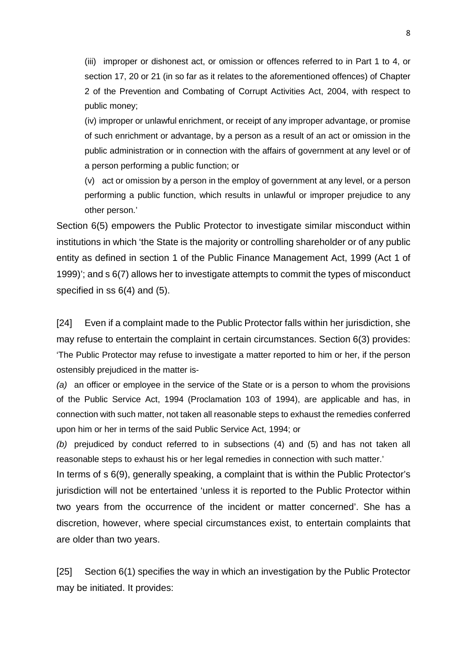(iii) improper or dishonest act, or omission or offences referred to in Part 1 to 4, or section 17, 20 or 21 (in so far as it relates to the aforementioned offences) of Chapter 2 of the Prevention and Combating of Corrupt Activities Act, 2004, with respect to public money;

(iv) improper or unlawful enrichment, or receipt of any improper advantage, or promise of such enrichment or advantage, by a person as a result of an act or omission in the public administration or in connection with the affairs of government at any level or of a person performing a public function; or

(v) act or omission by a person in the employ of government at any level, or a person performing a public function, which results in unlawful or improper prejudice to any other person.'

Section 6(5) empowers the Public Protector to investigate similar misconduct within institutions in which 'the State is the majority or controlling shareholder or of any public entity as defined in section 1 of the Public Finance Management Act, 1999 (Act 1 of 1999)'; and s 6(7) allows her to investigate attempts to commit the types of misconduct specified in ss 6(4) and (5).

[24] Even if a complaint made to the Public Protector falls within her jurisdiction, she may refuse to entertain the complaint in certain circumstances. Section 6(3) provides: 'The Public Protector may refuse to investigate a matter reported to him or her, if the person ostensibly prejudiced in the matter is-

*(a)* an officer or employee in the service of the State or is a person to whom the provisions of the Public Service Act, 1994 (Proclamation 103 of 1994), are applicable and has, in connection with such matter, not taken all reasonable steps to exhaust the remedies conferred upon him or her in terms of the said Public Service Act, 1994; or

*(b)* prejudiced by conduct referred to in subsections (4) and (5) and has not taken all reasonable steps to exhaust his or her legal remedies in connection with such matter.'

In terms of s 6(9), generally speaking, a complaint that is within the Public Protector's jurisdiction will not be entertained 'unless it is reported to the Public Protector within two years from the occurrence of the incident or matter concerned'. She has a discretion, however, where special circumstances exist, to entertain complaints that are older than two years.

[25] Section 6(1) specifies the way in which an investigation by the Public Protector may be initiated. It provides: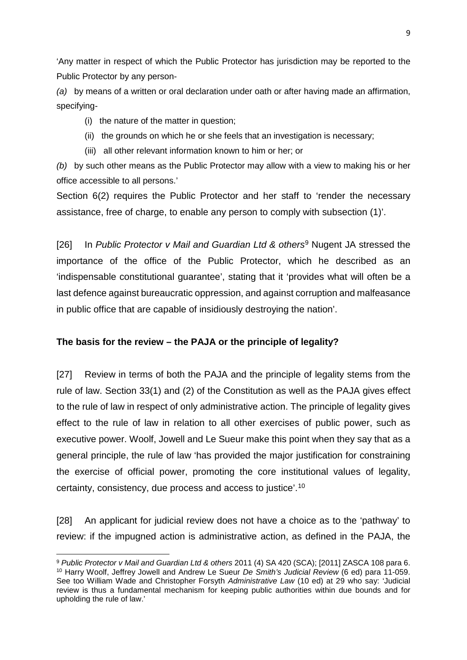'Any matter in respect of which the Public Protector has jurisdiction may be reported to the Public Protector by any person-

*(a)* by means of a written or oral declaration under oath or after having made an affirmation, specifying-

- (i) the nature of the matter in question;
- (ii) the grounds on which he or she feels that an investigation is necessary;
- (iii) all other relevant information known to him or her; or

*(b)* by such other means as the Public Protector may allow with a view to making his or her office accessible to all persons.'

Section 6(2) requires the Public Protector and her staff to 'render the necessary assistance, free of charge, to enable any person to comply with subsection (1)'.

[26] In *Public Protector v Mail and Guardian Ltd & others*[9](#page-8-0) Nugent JA stressed the importance of the office of the Public Protector, which he described as an 'indispensable constitutional guarantee', stating that it 'provides what will often be a last defence against bureaucratic oppression, and against corruption and malfeasance in public office that are capable of insidiously destroying the nation'.

# **The basis for the review – the PAJA or the principle of legality?**

[27] Review in terms of both the PAJA and the principle of legality stems from the rule of law. Section 33(1) and (2) of the Constitution as well as the PAJA gives effect to the rule of law in respect of only administrative action. The principle of legality gives effect to the rule of law in relation to all other exercises of public power, such as executive power. Woolf, Jowell and Le Sueur make this point when they say that as a general principle, the rule of law 'has provided the major justification for constraining the exercise of official power, promoting the core institutional values of legality, certainty, consistency, due process and access to justice'.[10](#page-8-1)

[28] An applicant for judicial review does not have a choice as to the 'pathway' to review: if the impugned action is administrative action, as defined in the PAJA, the

<span id="page-8-1"></span><span id="page-8-0"></span>**<sup>.</sup>** <sup>9</sup> *Public Protector v Mail and Guardian Ltd & others* 2011 (4) SA 420 (SCA); [2011] ZASCA 108 para 6. <sup>10</sup> Harry Woolf, Jeffrey Jowell and Andrew Le Sueur *De Smith's Judicial Review* (6 ed) para 11-059. See too William Wade and Christopher Forsyth *Administrative Law* (10 ed) at 29 who say: 'Judicial review is thus a fundamental mechanism for keeping public authorities within due bounds and for upholding the rule of law.'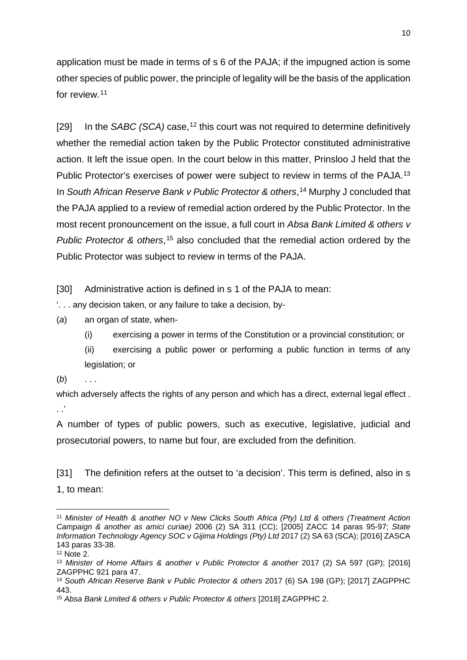application must be made in terms of s 6 of the PAJA; if the impugned action is some other species of public power, the principle of legality will be the basis of the application for review.[11](#page-9-0)

[29] In the *SABC (SCA)* case,<sup>[12](#page-9-1)</sup> this court was not required to determine definitively whether the remedial action taken by the Public Protector constituted administrative action. It left the issue open. In the court below in this matter, Prinsloo J held that the Public Protector's exercises of power were subject to review in terms of the PAJA.<sup>13</sup> In *South African Reserve Bank v Public Protector & others*, [14](#page-9-3) Murphy J concluded that the PAJA applied to a review of remedial action ordered by the Public Protector. In the most recent pronouncement on the issue, a full court in *Absa Bank Limited & others v*  Public Protector & others,<sup>[15](#page-9-4)</sup> also concluded that the remedial action ordered by the Public Protector was subject to review in terms of the PAJA.

[30] Administrative action is defined in s 1 of the PAJA to mean:

'. . . any decision taken, or any failure to take a decision, by-

(*a*) an organ of state, when-

- (i) exercising a power in terms of the Constitution or a provincial constitution; or
- (ii) exercising a public power or performing a public function in terms of any legislation; or

(*b*) . . .

which adversely affects the rights of any person and which has a direct, external legal effect.  $\cdot$  .

A number of types of public powers, such as executive, legislative, judicial and prosecutorial powers, to name but four, are excluded from the definition.

[31] The definition refers at the outset to 'a decision'. This term is defined, also in s 1, to mean:

<span id="page-9-0"></span> $\overline{a}$ <sup>11</sup> *Minister of Health & another NO v New Clicks South Africa (Pty) Ltd & others (Treatment Action Campaign & another as amici curiae)* 2006 (2) SA 311 (CC); [2005] ZACC 14 paras 95-97; *State Information Technology Agency SOC v Gijima Holdings (Pty) Ltd* 2017 (2) SA 63 (SCA); [2016] ZASCA 143 paras 33-38.

<span id="page-9-1"></span> $12$  Note 2.

<span id="page-9-2"></span><sup>13</sup> *Minister of Home Affairs & another v Public Protector & another* 2017 (2) SA 597 (GP); [2016] ZAGPPHC 921 para 47.

<span id="page-9-3"></span><sup>14</sup> *South African Reserve Bank v Public Protector & others* 2017 (6) SA 198 (GP); [2017] ZAGPPHC 443.

<span id="page-9-4"></span><sup>15</sup> *Absa Bank Limited & others v Public Protector & others* [2018] ZAGPPHC 2.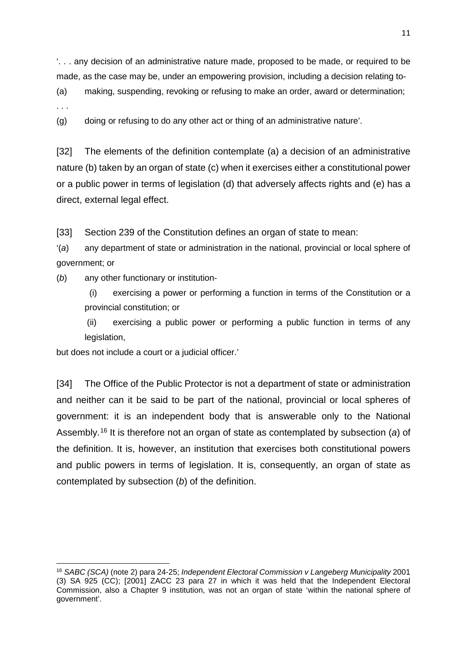'. . . any decision of an administrative nature made, proposed to be made, or required to be made, as the case may be, under an empowering provision, including a decision relating to-

(a) making, suspending, revoking or refusing to make an order, award or determination;

. . .

 $\overline{a}$ 

(g) doing or refusing to do any other act or thing of an administrative nature'.

[32] The elements of the definition contemplate (a) a decision of an administrative nature (b) taken by an organ of state (c) when it exercises either a constitutional power or a public power in terms of legislation (d) that adversely affects rights and (e) has a direct, external legal effect.

[33] Section 239 of the Constitution defines an organ of state to mean:

'(*a*) any department of state or administration in the national, provincial or local sphere of government; or

(*b*) any other functionary or institution-

(i) exercising a power or performing a function in terms of the Constitution or a provincial constitution; or

(ii) exercising a public power or performing a public function in terms of any legislation,

but does not include a court or a judicial officer.'

[34] The Office of the Public Protector is not a department of state or administration and neither can it be said to be part of the national, provincial or local spheres of government: it is an independent body that is answerable only to the National Assembly.[16](#page-10-0) It is therefore not an organ of state as contemplated by subsection (*a*) of the definition. It is, however, an institution that exercises both constitutional powers and public powers in terms of legislation. It is, consequently, an organ of state as contemplated by subsection (*b*) of the definition.

<span id="page-10-0"></span><sup>16</sup> *SABC (SCA)* (note 2) para 24-25; *Independent Electoral Commission v Langeberg Municipality* 2001 (3) SA 925 (CC); [2001] ZACC 23 para 27 in which it was held that the Independent Electoral Commission, also a Chapter 9 institution, was not an organ of state 'within the national sphere of government'.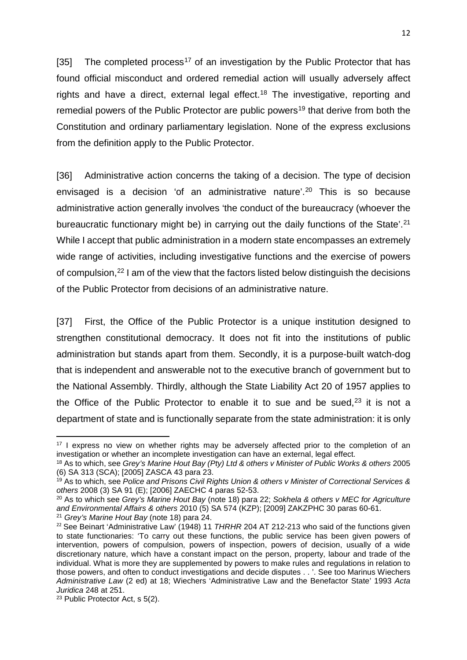[35] The completed process<sup>[17](#page-11-0)</sup> of an investigation by the Public Protector that has found official misconduct and ordered remedial action will usually adversely affect rights and have a direct, external legal effect.<sup>[18](#page-11-1)</sup> The investigative, reporting and remedial powers of the Public Protector are public powers<sup>[19](#page-11-2)</sup> that derive from both the Constitution and ordinary parliamentary legislation. None of the express exclusions from the definition apply to the Public Protector.

[36] Administrative action concerns the taking of a decision. The type of decision envisaged is a decision 'of an administrative nature'.<sup>[20](#page-11-3)</sup> This is so because administrative action generally involves 'the conduct of the bureaucracy (whoever the bureaucratic functionary might be) in carrying out the daily functions of the State'[.21](#page-11-4) While I accept that public administration in a modern state encompasses an extremely wide range of activities, including investigative functions and the exercise of powers of compulsion,<sup>[22](#page-11-5)</sup> I am of the view that the factors listed below distinguish the decisions of the Public Protector from decisions of an administrative nature.

[37] First, the Office of the Public Protector is a unique institution designed to strengthen constitutional democracy. It does not fit into the institutions of public administration but stands apart from them. Secondly, it is a purpose-built watch-dog that is independent and answerable not to the executive branch of government but to the National Assembly. Thirdly, although the State Liability Act 20 of 1957 applies to the Office of the Public Protector to enable it to sue and be sued, $23$  it is not a department of state and is functionally separate from the state administration: it is only

<span id="page-11-0"></span>**<sup>.</sup>**  $17$  I express no view on whether rights may be adversely affected prior to the completion of an investigation or whether an incomplete investigation can have an external, legal effect.

<span id="page-11-1"></span><sup>18</sup> As to which, see *Grey's Marine Hout Bay (Pty) Ltd & others v Minister of Public Works & others* 2005 (6) SA 313 (SCA); [2005] ZASCA 43 para 23.

<span id="page-11-2"></span><sup>19</sup> As to which, see *Police and Prisons Civil Rights Union & others v Minister of Correctional Services & others* 2008 (3) SA 91 (E); [2006] ZAECHC 4 paras 52-53.

<span id="page-11-3"></span><sup>20</sup> As to which see *Grey's Marine Hout Bay* (note 18) para 22; *Sokhela & others v MEC for Agriculture and Environmental Affairs & others* 2010 (5) SA 574 (KZP); [2009] ZAKZPHC 30 paras 60-61. <sup>21</sup> *Grey's Marine Hout Bay* (note 18) para 24.

<span id="page-11-5"></span><span id="page-11-4"></span><sup>22</sup> See Beinart 'Administrative Law' (1948) 11 *THRHR* 204 AT 212-213 who said of the functions given to state functionaries: 'To carry out these functions, the public service has been given powers of intervention, powers of compulsion, powers of inspection, powers of decision, usually of a wide discretionary nature, which have a constant impact on the person, property, labour and trade of the individual. What is more they are supplemented by powers to make rules and regulations in relation to those powers, and often to conduct investigations and decide disputes . . '. See too Marinus Wiechers *Administrative Law* (2 ed) at 18; Wiechers 'Administrative Law and the Benefactor State' 1993 *Acta Juridica* 248 at 251.

<span id="page-11-6"></span><sup>23</sup> Public Protector Act, s 5(2).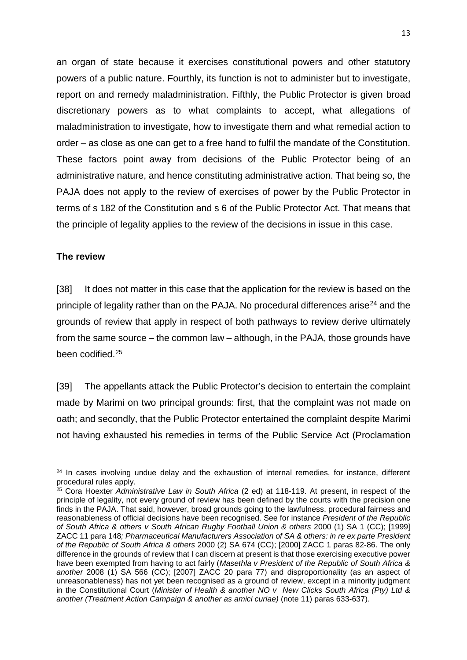an organ of state because it exercises constitutional powers and other statutory powers of a public nature. Fourthly, its function is not to administer but to investigate, report on and remedy maladministration. Fifthly, the Public Protector is given broad discretionary powers as to what complaints to accept, what allegations of maladministration to investigate, how to investigate them and what remedial action to order – as close as one can get to a free hand to fulfil the mandate of the Constitution. These factors point away from decisions of the Public Protector being of an administrative nature, and hence constituting administrative action. That being so, the PAJA does not apply to the review of exercises of power by the Public Protector in terms of s 182 of the Constitution and s 6 of the Public Protector Act. That means that the principle of legality applies to the review of the decisions in issue in this case.

#### **The review**

**.** 

[38] It does not matter in this case that the application for the review is based on the principle of legality rather than on the PAJA. No procedural differences arise<sup>[24](#page-12-0)</sup> and the grounds of review that apply in respect of both pathways to review derive ultimately from the same source – the common law – although, in the PAJA, those grounds have been codified.[25](#page-12-1)

[39] The appellants attack the Public Protector's decision to entertain the complaint made by Marimi on two principal grounds: first, that the complaint was not made on oath; and secondly, that the Public Protector entertained the complaint despite Marimi not having exhausted his remedies in terms of the Public Service Act (Proclamation

<span id="page-12-0"></span> $24$  In cases involving undue delay and the exhaustion of internal remedies, for instance, different procedural rules apply.

<span id="page-12-1"></span><sup>25</sup> Cora Hoexter *Administrative Law in South Africa* (2 ed) at 118-119. At present, in respect of the principle of legality, not every ground of review has been defined by the courts with the precision one finds in the PAJA. That said, however, broad grounds going to the lawfulness, procedural fairness and reasonableness of official decisions have been recognised. See for instance *President of the Republic of South Africa & others v South African Rugby Football Union & others* 2000 (1) SA 1 (CC); [1999] ZACC 11 para 148*; Pharmaceutical Manufacturers Association of SA & others: in re ex parte President of the Republic of South Africa & others* 2000 (2) SA 674 (CC); [2000] ZACC 1 paras 82-86. The only difference in the grounds of review that I can discern at present is that those exercising executive power have been exempted from having to act fairly (*Masethla v President of the Republic of South Africa & another* 2008 (1) SA 566 (CC); [2007] ZACC 20 para 77) and disproportionality (as an aspect of unreasonableness) has not yet been recognised as a ground of review, except in a minority judgment in the Constitutional Court (*Minister of Health & another NO v New Clicks South Africa (Pty) Ltd & another (Treatment Action Campaign & another as amici curiae)* (note 11) paras 633-637).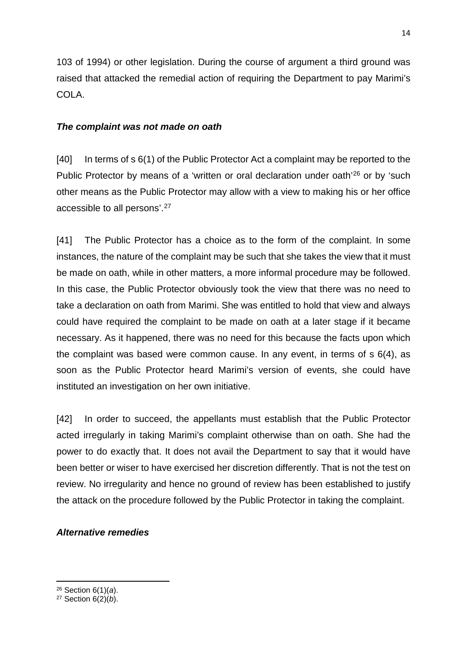103 of 1994) or other legislation. During the course of argument a third ground was raised that attacked the remedial action of requiring the Department to pay Marimi's COLA.

## *The complaint was not made on oath*

[40] In terms of s 6(1) of the Public Protector Act a complaint may be reported to the Public Protector by means of a 'written or oral declaration under oath<sup>'[26](#page-13-0)</sup> or by 'such other means as the Public Protector may allow with a view to making his or her office accessible to all persons'.[27](#page-13-1)

[41] The Public Protector has a choice as to the form of the complaint. In some instances, the nature of the complaint may be such that she takes the view that it must be made on oath, while in other matters, a more informal procedure may be followed. In this case, the Public Protector obviously took the view that there was no need to take a declaration on oath from Marimi. She was entitled to hold that view and always could have required the complaint to be made on oath at a later stage if it became necessary. As it happened, there was no need for this because the facts upon which the complaint was based were common cause. In any event, in terms of s 6(4), as soon as the Public Protector heard Marimi's version of events, she could have instituted an investigation on her own initiative.

[42] In order to succeed, the appellants must establish that the Public Protector acted irregularly in taking Marimi's complaint otherwise than on oath. She had the power to do exactly that. It does not avail the Department to say that it would have been better or wiser to have exercised her discretion differently. That is not the test on review. No irregularity and hence no ground of review has been established to justify the attack on the procedure followed by the Public Protector in taking the complaint.

#### *Alternative remedies*

 $\overline{a}$ 

14

<span id="page-13-0"></span><sup>26</sup> Section 6(1)(*a*).

<span id="page-13-1"></span><sup>27</sup> Section 6(2)(*b*).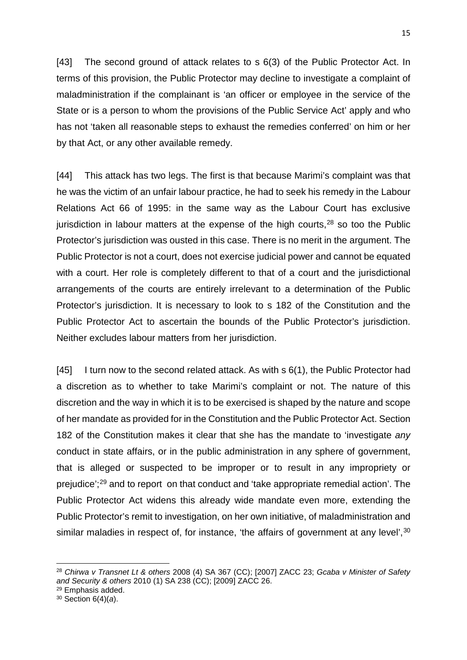[43] The second ground of attack relates to s 6(3) of the Public Protector Act. In terms of this provision, the Public Protector may decline to investigate a complaint of maladministration if the complainant is 'an officer or employee in the service of the State or is a person to whom the provisions of the Public Service Act' apply and who has not 'taken all reasonable steps to exhaust the remedies conferred' on him or her by that Act, or any other available remedy.

[44] This attack has two legs. The first is that because Marimi's complaint was that he was the victim of an unfair labour practice, he had to seek his remedy in the Labour Relations Act 66 of 1995: in the same way as the Labour Court has exclusive jurisdiction in labour matters at the expense of the high courts, $28$  so too the Public Protector's jurisdiction was ousted in this case. There is no merit in the argument. The Public Protector is not a court, does not exercise judicial power and cannot be equated with a court. Her role is completely different to that of a court and the jurisdictional arrangements of the courts are entirely irrelevant to a determination of the Public Protector's jurisdiction. It is necessary to look to s 182 of the Constitution and the Public Protector Act to ascertain the bounds of the Public Protector's jurisdiction. Neither excludes labour matters from her jurisdiction.

[45] I turn now to the second related attack. As with s 6(1), the Public Protector had a discretion as to whether to take Marimi's complaint or not. The nature of this discretion and the way in which it is to be exercised is shaped by the nature and scope of her mandate as provided for in the Constitution and the Public Protector Act. Section 182 of the Constitution makes it clear that she has the mandate to 'investigate *any* conduct in state affairs, or in the public administration in any sphere of government, that is alleged or suspected to be improper or to result in any impropriety or prejudice';[29](#page-14-1) and to report on that conduct and 'take appropriate remedial action'. The Public Protector Act widens this already wide mandate even more, extending the Public Protector's remit to investigation, on her own initiative, of maladministration and similar maladies in respect of, for instance, 'the affairs of government at any level',<sup>[30](#page-14-2)</sup>

 $\overline{a}$ 

<span id="page-14-0"></span><sup>28</sup> *Chirwa v Transnet Lt & others* 2008 (4) SA 367 (CC); [2007] ZACC 23; *Gcaba v Minister of Safety and Security & others* 2010 (1) SA 238 (CC); [2009] ZACC 26.

<span id="page-14-1"></span><sup>29</sup> Emphasis added.

<span id="page-14-2"></span><sup>30</sup> Section 6(4)(*a*).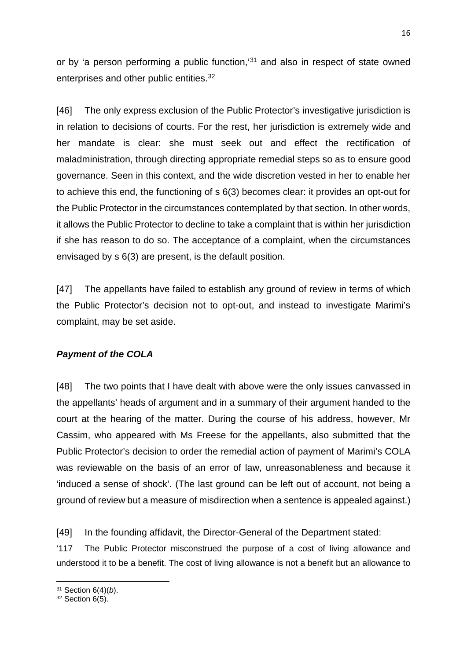or by 'a person performing a public function,'[31](#page-15-0) and also in respect of state owned enterprises and other public entities.[32](#page-15-1)

[46] The only express exclusion of the Public Protector's investigative jurisdiction is in relation to decisions of courts. For the rest, her jurisdiction is extremely wide and her mandate is clear: she must seek out and effect the rectification of maladministration, through directing appropriate remedial steps so as to ensure good governance. Seen in this context, and the wide discretion vested in her to enable her to achieve this end, the functioning of s 6(3) becomes clear: it provides an opt-out for the Public Protector in the circumstances contemplated by that section. In other words, it allows the Public Protector to decline to take a complaint that is within her jurisdiction if she has reason to do so. The acceptance of a complaint, when the circumstances envisaged by s 6(3) are present, is the default position.

[47] The appellants have failed to establish any ground of review in terms of which the Public Protector's decision not to opt-out, and instead to investigate Marimi's complaint, may be set aside.

# *Payment of the COLA*

[48] The two points that I have dealt with above were the only issues canvassed in the appellants' heads of argument and in a summary of their argument handed to the court at the hearing of the matter. During the course of his address, however, Mr Cassim, who appeared with Ms Freese for the appellants, also submitted that the Public Protector's decision to order the remedial action of payment of Marimi's COLA was reviewable on the basis of an error of law, unreasonableness and because it 'induced a sense of shock'. (The last ground can be left out of account, not being a ground of review but a measure of misdirection when a sentence is appealed against.)

[49] In the founding affidavit, the Director-General of the Department stated:

'117 The Public Protector misconstrued the purpose of a cost of living allowance and understood it to be a benefit. The cost of living allowance is not a benefit but an allowance to

 $\overline{a}$ <sup>31</sup> Section 6(4)(*b*).

<span id="page-15-1"></span><span id="page-15-0"></span> $32$  Section  $6(5)$ .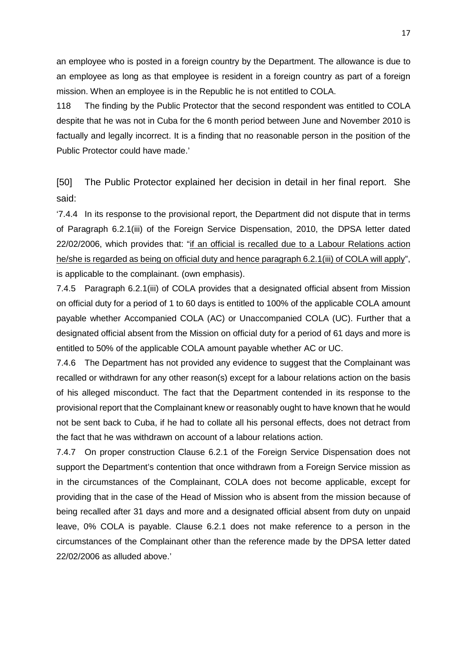an employee who is posted in a foreign country by the Department. The allowance is due to an employee as long as that employee is resident in a foreign country as part of a foreign mission. When an employee is in the Republic he is not entitled to COLA.

118 The finding by the Public Protector that the second respondent was entitled to COLA despite that he was not in Cuba for the 6 month period between June and November 2010 is factually and legally incorrect. It is a finding that no reasonable person in the position of the Public Protector could have made.'

[50] The Public Protector explained her decision in detail in her final report. She said:

'7.4.4 In its response to the provisional report, the Department did not dispute that in terms of Paragraph 6.2.1(iii) of the Foreign Service Dispensation, 2010, the DPSA letter dated 22/02/2006, which provides that: "if an official is recalled due to a Labour Relations action he/she is regarded as being on official duty and hence paragraph 6.2.1(iii) of COLA will apply", is applicable to the complainant. (own emphasis).

7.4.5 Paragraph 6.2.1(iii) of COLA provides that a designated official absent from Mission on official duty for a period of 1 to 60 days is entitled to 100% of the applicable COLA amount payable whether Accompanied COLA (AC) or Unaccompanied COLA (UC). Further that a designated official absent from the Mission on official duty for a period of 61 days and more is entitled to 50% of the applicable COLA amount payable whether AC or UC.

7.4.6 The Department has not provided any evidence to suggest that the Complainant was recalled or withdrawn for any other reason(s) except for a labour relations action on the basis of his alleged misconduct. The fact that the Department contended in its response to the provisional report that the Complainant knew or reasonably ought to have known that he would not be sent back to Cuba, if he had to collate all his personal effects, does not detract from the fact that he was withdrawn on account of a labour relations action.

7.4.7 On proper construction Clause 6.2.1 of the Foreign Service Dispensation does not support the Department's contention that once withdrawn from a Foreign Service mission as in the circumstances of the Complainant, COLA does not become applicable, except for providing that in the case of the Head of Mission who is absent from the mission because of being recalled after 31 days and more and a designated official absent from duty on unpaid leave, 0% COLA is payable. Clause 6.2.1 does not make reference to a person in the circumstances of the Complainant other than the reference made by the DPSA letter dated 22/02/2006 as alluded above.'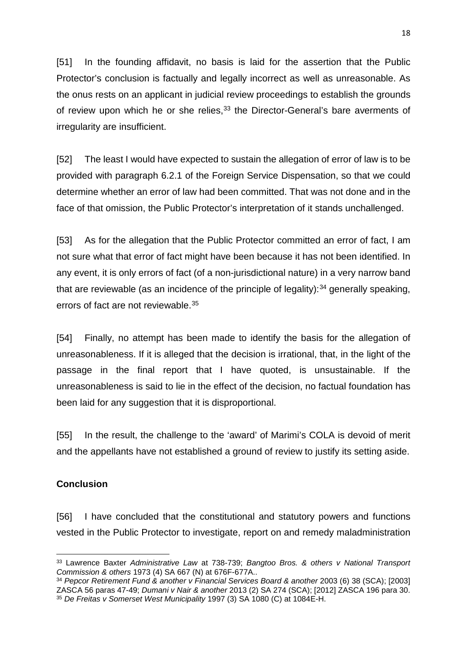[51] In the founding affidavit, no basis is laid for the assertion that the Public Protector's conclusion is factually and legally incorrect as well as unreasonable. As the onus rests on an applicant in judicial review proceedings to establish the grounds of review upon which he or she relies,  $33$  the Director-General's bare averments of irregularity are insufficient.

[52] The least I would have expected to sustain the allegation of error of law is to be provided with paragraph 6.2.1 of the Foreign Service Dispensation, so that we could determine whether an error of law had been committed. That was not done and in the face of that omission, the Public Protector's interpretation of it stands unchallenged.

[53] As for the allegation that the Public Protector committed an error of fact, I am not sure what that error of fact might have been because it has not been identified. In any event, it is only errors of fact (of a non-jurisdictional nature) in a very narrow band that are reviewable (as an incidence of the principle of legality): [34](#page-17-1) generally speaking, errors of fact are not reviewable.[35](#page-17-2)

[54] Finally, no attempt has been made to identify the basis for the allegation of unreasonableness. If it is alleged that the decision is irrational, that, in the light of the passage in the final report that I have quoted, is unsustainable. If the unreasonableness is said to lie in the effect of the decision, no factual foundation has been laid for any suggestion that it is disproportional.

[55] In the result, the challenge to the 'award' of Marimi's COLA is devoid of merit and the appellants have not established a ground of review to justify its setting aside.

## **Conclusion**

**.** 

[56] I have concluded that the constitutional and statutory powers and functions vested in the Public Protector to investigate, report on and remedy maladministration

<span id="page-17-0"></span><sup>33</sup> Lawrence Baxter *Administrative Law* at 738-739; *Bangtoo Bros. & others v National Transport Commission & others* 1973 (4) SA 667 (N) at 676F-677A..

<span id="page-17-2"></span><span id="page-17-1"></span><sup>34</sup> *Pepcor Retirement Fund & another v Financial Services Board & another* 2003 (6) 38 (SCA); [2003] ZASCA 56 paras 47-49; *Dumani v Nair & another* 2013 (2) SA 274 (SCA); [2012] ZASCA 196 para 30. <sup>35</sup> *De Freitas v Somerset West Municipality* 1997 (3) SA 1080 (C) at 1084E-H.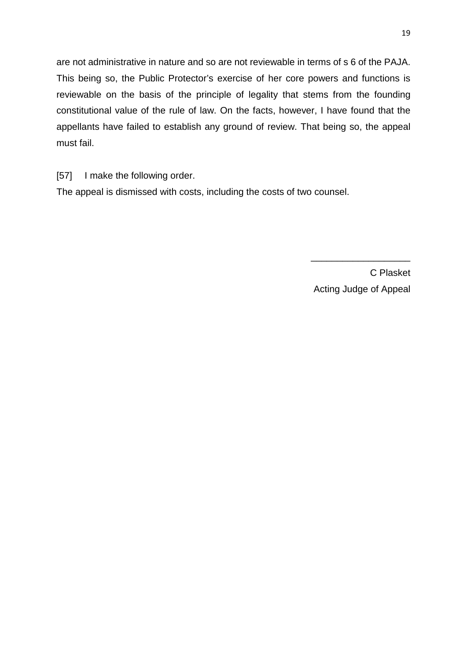are not administrative in nature and so are not reviewable in terms of s 6 of the PAJA. This being so, the Public Protector's exercise of her core powers and functions is reviewable on the basis of the principle of legality that stems from the founding constitutional value of the rule of law. On the facts, however, I have found that the appellants have failed to establish any ground of review. That being so, the appeal must fail.

[57] I make the following order.

The appeal is dismissed with costs, including the costs of two counsel.

C Plasket Acting Judge of Appeal

\_\_\_\_\_\_\_\_\_\_\_\_\_\_\_\_\_\_\_